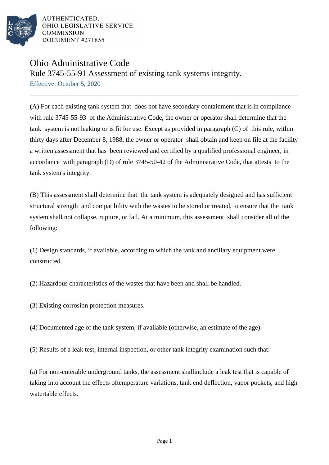

AUTHENTICATED. OHIO LEGISLATIVE SERVICE **COMMISSION** DOCUMENT #271855

## Ohio Administrative Code

Rule 3745-55-91 Assessment of existing tank systems integrity.

Effective: October 5, 2020

(A) For each existing tank system that does not have secondary containment that is in compliance with rule 3745-55-93 of the Administrative Code, the owner or operator shall determine that the tank system is not leaking or is fit for use. Except as provided in paragraph (C) of this rule, within thirty days after December 8, 1988, the owner or operator shall obtain and keep on file at the facility a written assessment that has been reviewed and certified by a qualified professional engineer, in accordance with paragraph (D) of rule 3745-50-42 of the Administrative Code, that attests to the tank system's integrity.

(B) This assessment shall determine that the tank system is adequately designed and has sufficient structural strength and compatibility with the wastes to be stored or treated, to ensure that the tank system shall not collapse, rupture, or fail. At a minimum, this assessment shall consider all of the following:

(1) Design standards, if available, according to which the tank and ancillary equipment were constructed.

(2) Hazardous characteristics of the wastes that have been and shall be handled.

(3) Existing corrosion protection measures.

(4) Documented age of the tank system, if available (otherwise, an estimate of the age).

(5) Results of a leak test, internal inspection, or other tank integrity examination such that:

(a) For non-enterable underground tanks, the assessment shall include a leak test that is capable of taking into account the effects of temperature variations, tank end deflection, vapor pockets, and high water table effects.